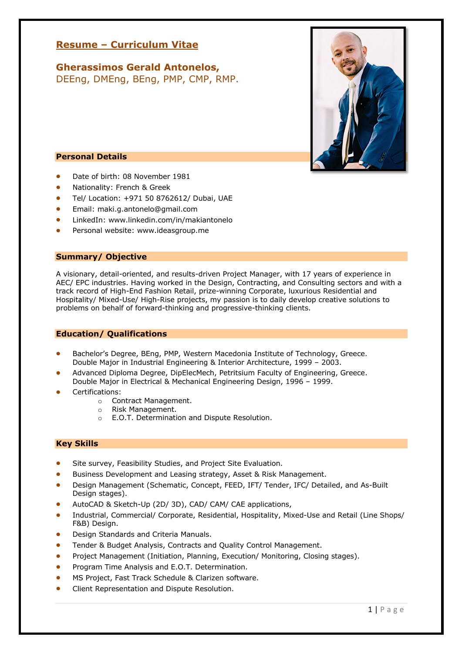# **Resume – Curriculum Vitae**

**Gherassimos Gerald Antonelos,**  DEEng, DMEng, BEng, PMP, CMP, RMP.



- Date of birth: 08 November 1981
- Nationality: French & Greek
- Tel/ Location: +971 50 8762612/ Dubai, UAE
- Email: maki.g.antonelo@gmail.com
- LinkedIn: www.linkedin.com/in/makiantonelo
- Personal website: www.ideasgroup.me

# **Summary/ Objective**

A visionary, detail-oriented, and results-driven Project Manager, with 17 years of experience in AEC/ EPC industries. Having worked in the Design, Contracting, and Consulting sectors and with a track record of High-End Fashion Retail, prize-winning Corporate, luxurious Residential and Hospitality/ Mixed-Use/ High-Rise projects, my passion is to daily develop creative solutions to problems on behalf of forward-thinking and progressive-thinking clients.

# **Education/ Qualifications**

- Bachelor's Degree, BEng, PMP, Western Macedonia Institute of Technology, Greece. Double Major in Industrial Engineering & Interior Architecture, 1999 – 2003.
- Advanced Diploma Degree, DipElecMech, Petritsium Faculty of Engineering, Greece. Double Major in Electrical & Mechanical Engineering Design, 1996 – 1999.
- Certifications:
	- o Contract Management.
	- o Risk Management.
	- o E.O.T. Determination and Dispute Resolution.

# **Key Skills**

- Site survey, Feasibility Studies, and Project Site Evaluation.
- Business Development and Leasing strategy, Asset & Risk Management.
- Design Management (Schematic, Concept, FEED, IFT/ Tender, IFC/ Detailed, and As-Built Design stages).
- AutoCAD & Sketch-Up (2D/ 3D), CAD/ CAM/ CAE applications,
- Industrial, Commercial/ Corporate, Residential, Hospitality, Mixed-Use and Retail (Line Shops/ F&B) Design.
- Design Standards and Criteria Manuals.
- Tender & Budget Analysis, Contracts and Quality Control Management.
- Project Management (Initiation, Planning, Execution/ Monitoring, Closing stages).
- Program Time Analysis and E.O.T. Determination.
- MS Project, Fast Track Schedule & Clarizen software.
- Client Representation and Dispute Resolution.

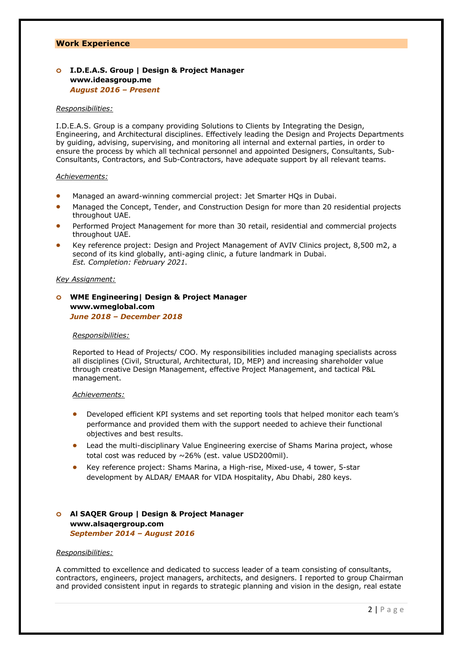## **Work Experience**

# **o I.D.E.A.S. Group | Design & Project Manager www.ideasgroup.me** *August 2016 – Present*

### *Responsibilities:*

I.D.E.A.S. Group is a company providing Solutions to Clients by Integrating the Design, Engineering, and Architectural disciplines. Effectively leading the Design and Projects Departments by guiding, advising, supervising, and monitoring all internal and external parties, in order to ensure the process by which all technical personnel and appointed Designers, Consultants, Sub-Consultants, Contractors, and Sub-Contractors, have adequate support by all relevant teams.

### *Achievements:*

- Managed an award-winning commercial project: Jet Smarter HQs in Dubai.
- Managed the Concept, Tender, and Construction Design for more than 20 residential projects throughout UAE.
- Performed Project Management for more than 30 retail, residential and commercial projects throughout UAE.
- Key reference project: Design and Project Management of AVIV Clinics project, 8,500 m2, a second of its kind globally, anti-aging clinic, a future landmark in Dubai. *Est. Completion: February 2021.*

### *Key Assignment:*

# **o WME Engineering| Design & Project Manager www.wmeglobal.com** *June 2018 – December 2018*

### *Responsibilities:*

Reported to Head of Projects/ COO. My responsibilities included managing specialists across all disciplines (Civil, Structural, Architectural, ID, MEP) and increasing shareholder value through creative Design Management, effective Project Management, and tactical P&L management.

### *Achievements:*

- Developed efficient KPI systems and set reporting tools that helped monitor each team's performance and provided them with the support needed to achieve their functional objectives and best results.
- Lead the multi-disciplinary Value Engineering exercise of Shams Marina project, whose total cost was reduced by ~26% (est. value USD200mil).
- Key reference project: Shams Marina, a High-rise, Mixed-use, 4 tower, 5-star development by ALDAR/ EMAAR for VIDA Hospitality, Abu Dhabi, 280 keys.

# **o Al SAQER Group | Design & Project Manager www.alsaqergroup.com** *September 2014 – August 2016*

#### *Responsibilities:*

A committed to excellence and dedicated to success leader of a team consisting of consultants, contractors, engineers, project managers, architects, and designers. I reported to group Chairman and provided consistent input in regards to strategic planning and vision in the design, real estate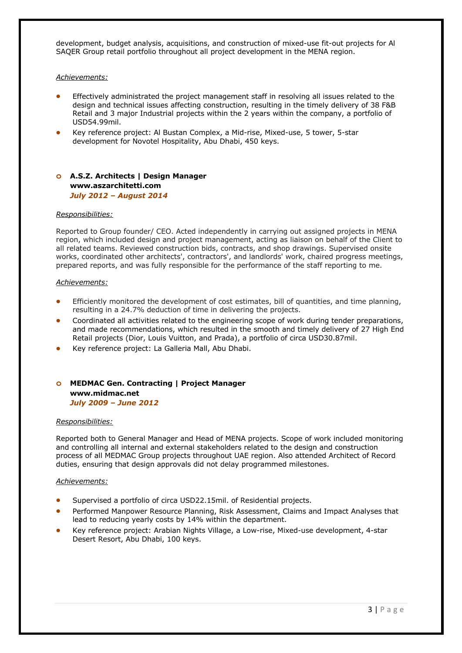development, budget analysis, acquisitions, and construction of mixed-use fit-out projects for Al SAQER Group retail portfolio throughout all project development in the MENA region.

### *Achievements:*

- Effectively administrated the project management staff in resolving all issues related to the design and technical issues affecting construction, resulting in the timely delivery of 38 F&B Retail and 3 major Industrial projects within the 2 years within the company, a portfolio of USD54.99mil.
- Key reference project: Al Bustan Complex, a Mid-rise, Mixed-use, 5 tower, 5-star development for Novotel Hospitality, Abu Dhabi, 450 keys.

# **o A.S.Z. Architects | Design Manager www.aszarchitetti.com** *July 2012 – August 2014*

### *Responsibilities:*

Reported to Group founder/ CEO. Acted independently in carrying out assigned projects in MENA region, which included design and project management, acting as liaison on behalf of the Client to all related teams. Reviewed construction bids, contracts, and shop drawings. Supervised onsite works, coordinated other architects', contractors', and landlords' work, chaired progress meetings, prepared reports, and was fully responsible for the performance of the staff reporting to me.

### *Achievements:*

- Efficiently monitored the development of cost estimates, bill of quantities, and time planning, resulting in a 24.7% deduction of time in delivering the projects.
- Coordinated all activities related to the engineering scope of work during tender preparations, and made recommendations, which resulted in the smooth and timely delivery of 27 High End Retail projects (Dior, Louis Vuitton, and Prada), a portfolio of circa USD30.87mil.
- Key reference project: La Galleria Mall, Abu Dhabi.

# **o MEDMAC Gen. Contracting | Project Manager www.midmac.net** *July 2009 – June 2012*

### *Responsibilities:*

Reported both to General Manager and Head of MENA projects. Scope of work included monitoring and controlling all internal and external stakeholders related to the design and construction process of all MEDMAC Group projects throughout UAE region. Also attended Architect of Record duties, ensuring that design approvals did not delay programmed milestones.

### *Achievements:*

- Supervised a portfolio of circa USD22.15mil. of Residential projects.
- Performed Manpower Resource Planning, Risk Assessment, Claims and Impact Analyses that lead to reducing yearly costs by 14% within the department.
- Key reference project: Arabian Nights Village, a Low-rise, Mixed-use development, 4-star Desert Resort, Abu Dhabi, 100 keys.